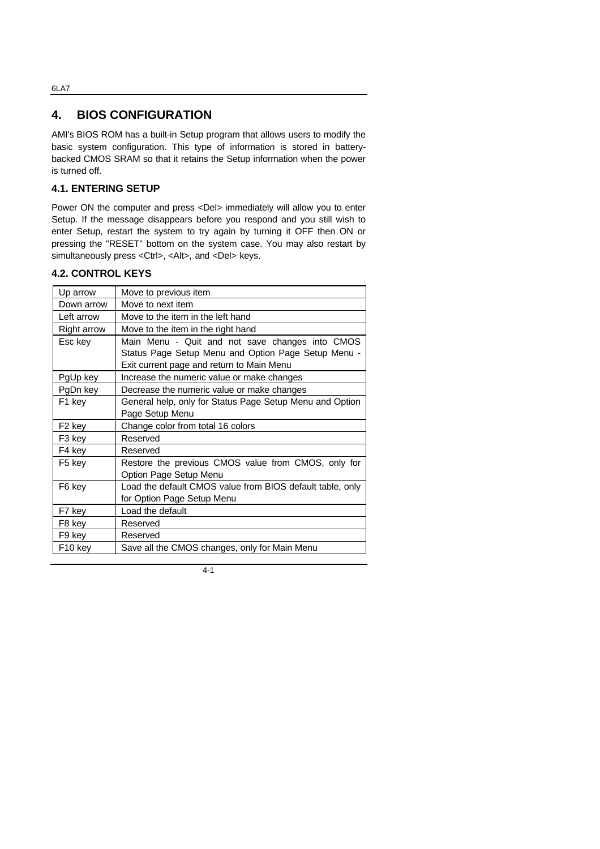# **4. BIOS CONFIGURATION**

AMI's BIOS ROM has a built-in Setup program that allows users to modify the basic system configuration. This type of information is stored in batterybacked CMOS SRAM so that it retains the Setup information when the power is turned off.

## **4.1. ENTERING SETUP**

Power ON the computer and press <Del> immediately will allow you to enter Setup. If the message disappears before you respond and you still wish to enter Setup, restart the system to try again by turning it OFF then ON or pressing the "RESET" bottom on the system case. You may also restart by simultaneously press <Ctrl>, <Alt>, and <Del> keys.

# **4.2. CONTROL KEYS**

| Up arrow            | Move to previous item                                     |
|---------------------|-----------------------------------------------------------|
| Down arrow          | Move to next item                                         |
| Left arrow          | Move to the item in the left hand                         |
| Right arrow         | Move to the item in the right hand                        |
| Esc key             | Main Menu - Quit and not save changes into CMOS           |
|                     | Status Page Setup Menu and Option Page Setup Menu -       |
|                     | Exit current page and return to Main Menu                 |
| PgUp key            | Increase the numeric value or make changes                |
| PgDn key            | Decrease the numeric value or make changes                |
| F1 key              | General help, only for Status Page Setup Menu and Option  |
|                     | Page Setup Menu                                           |
| F <sub>2</sub> key  | Change color from total 16 colors                         |
| F3 key              | Reserved                                                  |
| F4 key              | Reserved                                                  |
| F5 key              | Restore the previous CMOS value from CMOS, only for       |
|                     | Option Page Setup Menu                                    |
| F6 key              | Load the default CMOS value from BIOS default table, only |
|                     | for Option Page Setup Menu                                |
| F7 key              | Load the default                                          |
| F8 key              | Reserved                                                  |
| F9 key              | Reserved                                                  |
| F <sub>10</sub> key | Save all the CMOS changes, only for Main Menu             |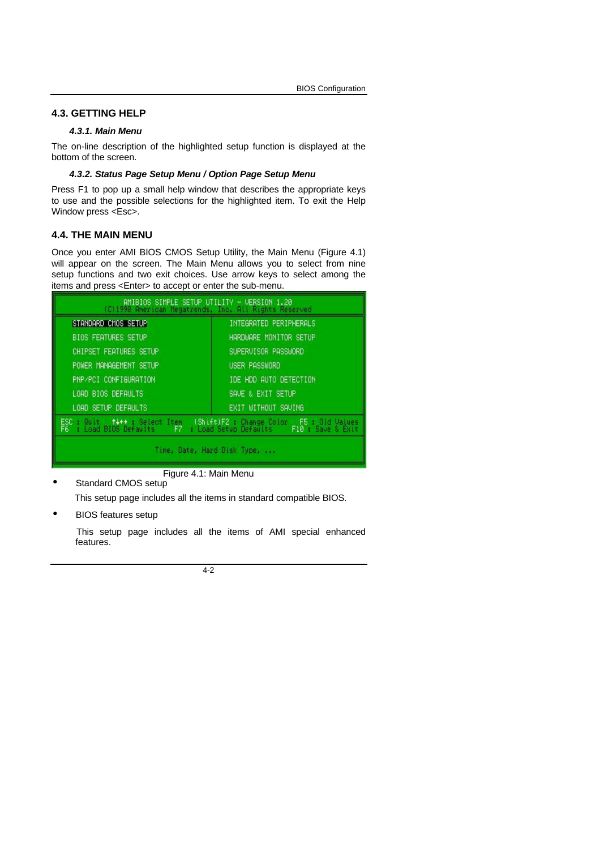#### **4.3. GETTING HELP**

## *4.3.1. Main Menu*

The on-line description of the highlighted setup function is displayed at the bottom of the screen.

#### *4.3.2. Status Page Setup Menu / Option Page Setup Menu*

Press F1 to pop up a small help window that describes the appropriate keys to use and the possible selections for the highlighted item. To exit the Help Window press <Esc>.

### **4.4. THE MAIN MENU**

Once you enter AMI BIOS CMOS Setup Utility, the Main Menu (Figure 4.1) will appear on the screen. The Main Menu allows you to select from nine setup functions and two exit choices. Use arrow keys to select among the items and press <Enter> to accept or enter the sub-menu.

| AMIBIOS SIMPLE SETUP UTILITY - VERSION 1.20<br>(C)1998 American Megatrends, Inc. All Rights Reserved                                              |                        |
|---------------------------------------------------------------------------------------------------------------------------------------------------|------------------------|
| STANDARD CMOS SETUP                                                                                                                               | INTEGRATED PERIPHERALS |
| <b>BIOS FEATURES SETUP</b>                                                                                                                        | HARDWARE MONITOR SETUP |
| CHIPSET FEATURES SETUP                                                                                                                            | SUPERVISOR PASSWORD    |
| POWER MANAGEMENT SETUP                                                                                                                            | USER PASSWORD          |
| PNP/PCI CONFIGURATION                                                                                                                             | IDE HDD AUTO DETECTION |
| LOAD BIOS DEFAULTS                                                                                                                                | SAVE & EXIT SETUP      |
| LOAD SETUP DEFAULTS                                                                                                                               | EXIT WITHOUT SAUING    |
| ESC : Quit (†4++): Select Item (Shift)F2 : Change Color F5 : Old Values<br>F6 : Load BIOS Defaults - F7 : Load Setup Defaults - F10 : Save & Exit |                        |
| the contract of the contract of the contract of the contract of the contract of the contract of the contract of                                   |                        |

Figure 4.1: Main Menu

• Standard CMOS setup

This setup page includes all the items in standard compatible BIOS.

• BIOS features setup

 This setup page includes all the items of AMI special enhanced features.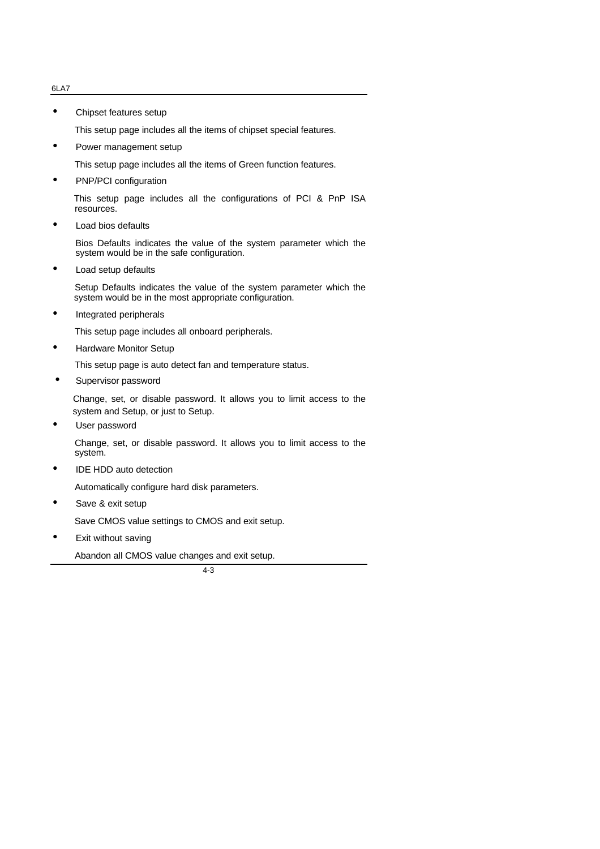• Chipset features setup

This setup page includes all the items of chipset special features.

Power management setup

This setup page includes all the items of Green function features.

• PNP/PCI configuration

This setup page includes all the configurations of PCI & PnP ISA resources.

Load bios defaults

Bios Defaults indicates the value of the system parameter which the system would be in the safe configuration.

• Load setup defaults

 Setup Defaults indicates the value of the system parameter which the system would be in the most appropriate configuration.

• Integrated peripherals

This setup page includes all onboard peripherals.

• Hardware Monitor Setup

This setup page is auto detect fan and temperature status.

Supervisor password

 Change, set, or disable password. It allows you to limit access to the system and Setup, or just to Setup.

User password

Change, set, or disable password. It allows you to limit access to the system.

IDE HDD auto detection

Automatically configure hard disk parameters.

Save & exit setup

Save CMOS value settings to CMOS and exit setup.

Exit without saving

Abandon all CMOS value changes and exit setup.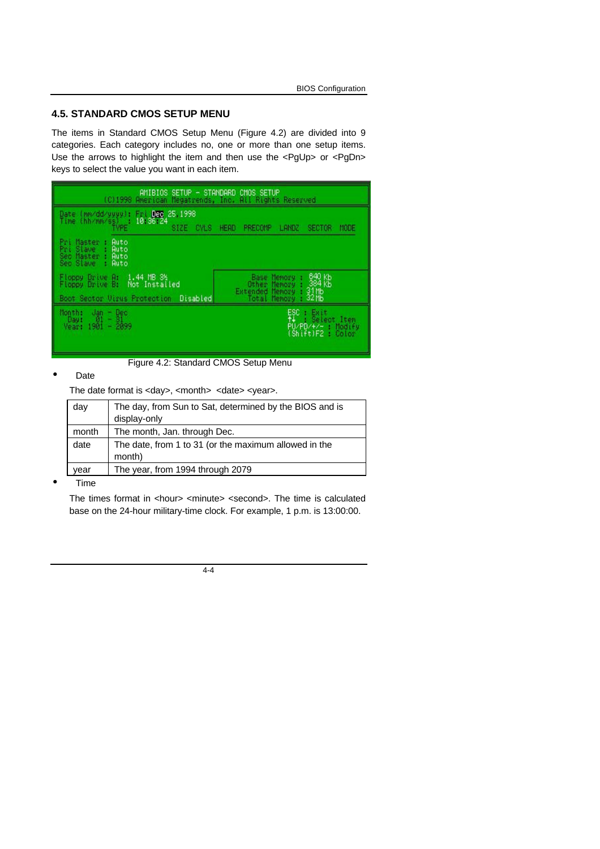### **4.5. STANDARD CMOS SETUP MENU**

The items in Standard CMOS Setup Menu (Figure 4.2) are divided into 9 categories. Each category includes no, one or more than one setup items. Use the arrows to highlight the item and then use the <PgUp> or <PgDn> keys to select the value you want in each item.

| AMIBIOS!<br>(C)1998 American Megatrends, Inc. All Rights Reserved                                             | SETUP - STANDARD CMOS SETUP                                                                                                               |
|---------------------------------------------------------------------------------------------------------------|-------------------------------------------------------------------------------------------------------------------------------------------|
| Fri Dec<br>25 1998<br>(mn/dd/yyyy):<br>Date:<br>Time<br>thh/mm/ss)<br>10 36 24<br><b>CYLS</b><br>SIZE:        | MODE<br><b>HEAD</b><br>PRECOMP<br>LANDZ<br>SECTOR                                                                                         |
| Auto<br>Pri Master<br>Slave<br>Pri<br>Auto<br>Seo.<br>Master<br>Auto<br>Sec Slave<br>Auto                     |                                                                                                                                           |
| 1.44 MB 3%<br>Floppy Drive A:<br>Floppy Drive B:<br>Not Installed<br>Boot Sector Virus Protection<br>Disabled | 640 Kb<br>Base<br>Memory.<br>$\frac{384}{31}$ KB<br>$\frac{31}{32}$ KB<br>Other<br>Memory<br>Extended<br>Memory<br>Total<br><b>Memory</b> |
| Month:<br>凯<br>٠<br>Dec<br>31<br>Day:<br>٠<br>٠<br>2099<br>.901<br>Yeart                                      | 郓<br>Exit<br>Select Item<br>я<br>PU/PD/+/- Modify<br>$(\textsf{Shift})$ F2<br>: Color                                                     |

Figure 4.2: Standard CMOS Setup Menu

#### • Date

The date format is <day>, <month> <date> <year>.

| day   | The day, from Sun to Sat, determined by the BIOS and is<br>display-only |
|-------|-------------------------------------------------------------------------|
| month | The month, Jan. through Dec.                                            |
| date  | The date, from 1 to 31 (or the maximum allowed in the<br>month)         |
| vear  | The year, from 1994 through 2079                                        |

• Time

The times format in <hour> <minute> <second>. The time is calculated base on the 24-hour military-time clock. For example, 1 p.m. is 13:00:00.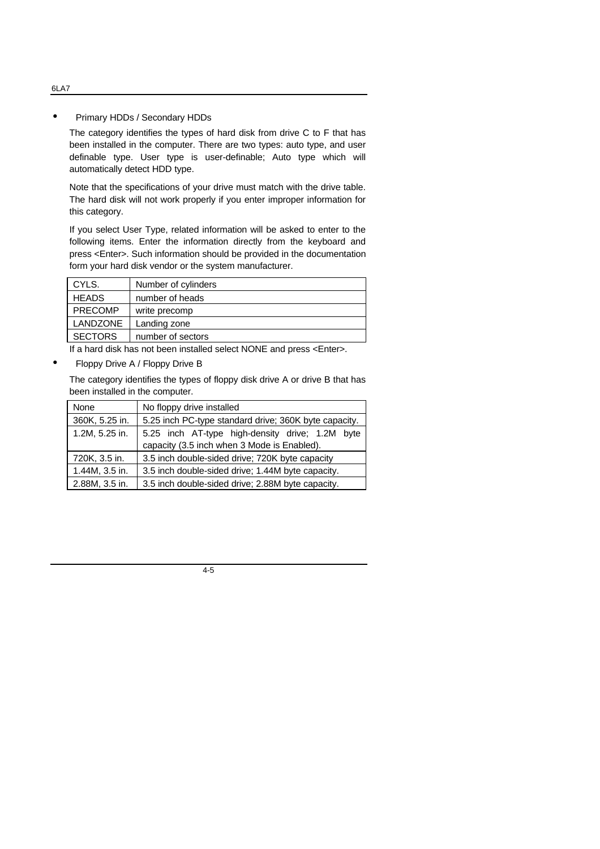#### • Primary HDDs / Secondary HDDs

The category identifies the types of hard disk from drive C to F that has been installed in the computer. There are two types: auto type, and user definable type. User type is user-definable; Auto type which will automatically detect HDD type.

Note that the specifications of your drive must match with the drive table. The hard disk will not work properly if you enter improper information for this category.

If you select User Type, related information will be asked to enter to the following items. Enter the information directly from the keyboard and press <Enter>. Such information should be provided in the documentation form your hard disk vendor or the system manufacturer.

| CYLS.           | Number of cylinders |
|-----------------|---------------------|
| <b>HEADS</b>    | number of heads     |
| <b>PRECOMP</b>  | write precomp       |
| <b>LANDZONE</b> | Landing zone        |
| <b>SECTORS</b>  | number of sectors   |

If a hard disk has not been installed select NONE and press <Enter>.

• Floppy Drive A / Floppy Drive B

The category identifies the types of floppy disk drive A or drive B that has been installed in the computer.

| None           | No floppy drive installed                             |  |
|----------------|-------------------------------------------------------|--|
| 360K, 5.25 in. | 5.25 inch PC-type standard drive; 360K byte capacity. |  |
| 1.2M, 5.25 in. | 5.25 inch AT-type high-density drive; 1.2M byte       |  |
|                | capacity (3.5 inch when 3 Mode is Enabled).           |  |
| 720K, 3.5 in.  | 3.5 inch double-sided drive; 720K byte capacity       |  |
| 1.44M, 3.5 in. | 3.5 inch double-sided drive; 1.44M byte capacity.     |  |
| 2.88M, 3.5 in. | 3.5 inch double-sided drive; 2.88M byte capacity.     |  |

4-5

#### 6LA7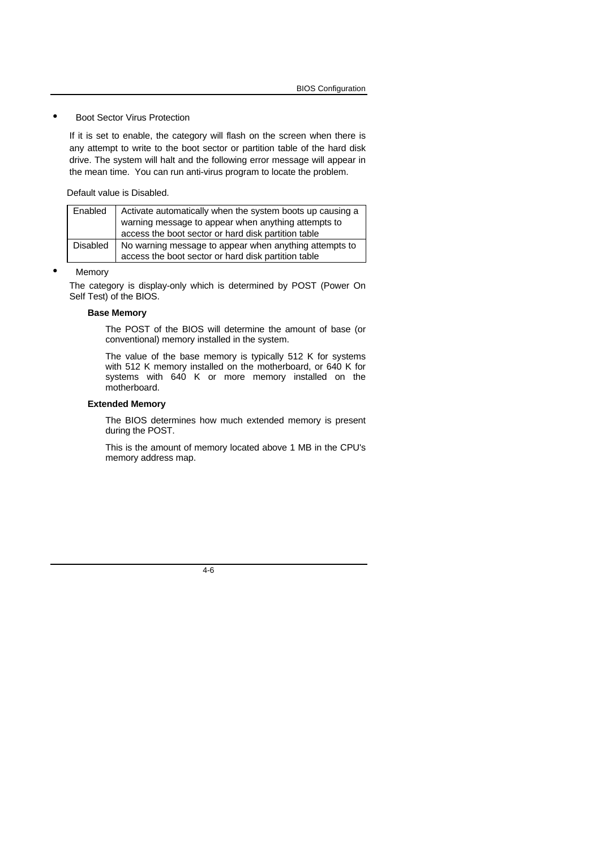#### **Boot Sector Virus Protection**

If it is set to enable, the category will flash on the screen when there is any attempt to write to the boot sector or partition table of the hard disk drive. The system will halt and the following error message will appear in the mean time. You can run anti-virus program to locate the problem.

Default value is Disabled.

| Enabled         | Activate automatically when the system boots up causing a |
|-----------------|-----------------------------------------------------------|
|                 | warning message to appear when anything attempts to       |
|                 | access the boot sector or hard disk partition table       |
| <b>Disabled</b> | No warning message to appear when anything attempts to    |
|                 | access the boot sector or hard disk partition table       |

#### **Memory**

The category is display-only which is determined by POST (Power On Self Test) of the BIOS.

#### **Base Memory**

The POST of the BIOS will determine the amount of base (or conventional) memory installed in the system.

The value of the base memory is typically 512 K for systems with 512 K memory installed on the motherboard, or 640 K for systems with 640 K or more memory installed on the motherboard.

#### **Extended Memory**

The BIOS determines how much extended memory is present during the POST.

This is the amount of memory located above 1 MB in the CPU's memory address map.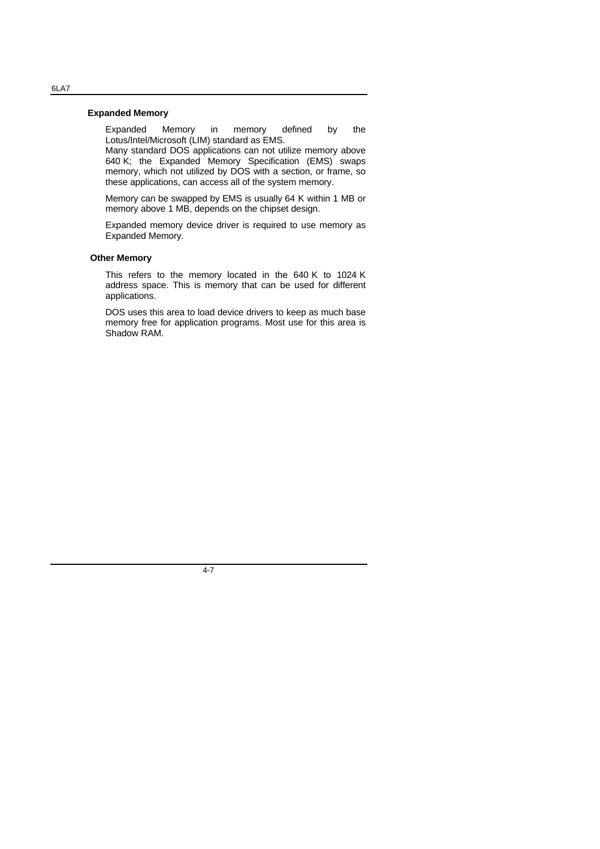#### **Expanded Memory**

Expanded Memory in memory defined by the Lotus/Intel/Microsoft (LIM) standard as EMS.

Many standard DOS applications can not utilize memory above 640 K; the Expanded Memory Specification (EMS) swaps memory, which not utilized by DOS with a section, or frame, so these applications, can access all of the system memory.

Memory can be swapped by EMS is usually 64 K within 1 MB or memory above 1 MB, depends on the chipset design.

Expanded memory device driver is required to use memory as Expanded Memory.

#### **Other Memory**

This refers to the memory located in the 640 K to 1024 K address space. This is memory that can be used for different applications.

DOS uses this area to load device drivers to keep as much base memory free for application programs. Most use for this area is Shadow RAM.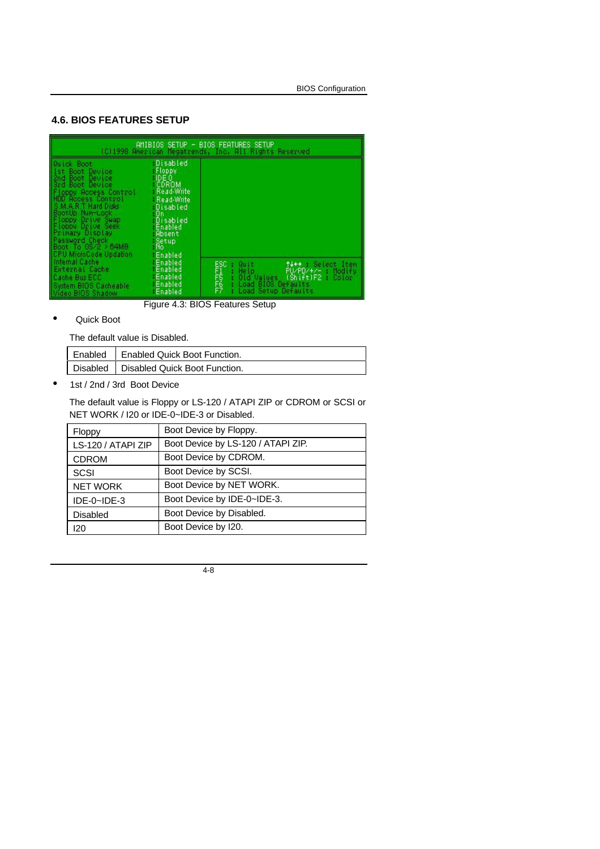# **4.6. BIOS FEATURES SETUP**

| AMIBIOS SETUP - BIOS FEATURES SETUP<br>(C)1998 American Megatrends, Inc. All Rights Reserved                                                                                                                                                                                                                  |                                                                                                                                                      |                                                                                                                                                              |
|---------------------------------------------------------------------------------------------------------------------------------------------------------------------------------------------------------------------------------------------------------------------------------------------------------------|------------------------------------------------------------------------------------------------------------------------------------------------------|--------------------------------------------------------------------------------------------------------------------------------------------------------------|
| Quick Boot<br>1st Boot Device<br>2nd Boot Device<br>3rd Boot Device<br><b>Floopy Rocess Control</b><br>HDD Rocess Control<br>S.M.A.R.T Hard Disks<br>BootUp Nun-Lock<br>Floppy Drive Swap<br>Floopy Drive Seek<br>Primary Display<br>Password Check<br>Boot To $0S/2 > 64MB$<br><b>CPU MicroCode Updation</b> | Disabled<br>: Floppy<br>IDEO<br>CDROM<br>- Read-Write<br>- Read-Write<br>Disabled<br>: On<br>Disabled<br>Enabled<br>Absent<br>Setup<br>No<br>Enabled |                                                                                                                                                              |
| Internal Cache<br>External Cache<br>Cache Bus ECC<br>System BIOS Cacheable<br>Video BIOS Shadow                                                                                                                                                                                                               | <b>Enabled</b><br>Enabled<br>Enabled<br>Enabled<br>Enabled                                                                                           | ESC<br>F1556<br>F7<br>t+++ : Select Item<br>Quit<br>PU/PD/+/- : Modify<br>He to<br>Old Values (Shift)F2 : Color<br>Load BIOS Defaults<br>Load Setup Defaults |

Figure 4.3: BIOS Features Setup

#### • Quick Boot

The default value is Disabled.

| Enabled   Enabled Quick Boot Function.   |
|------------------------------------------|
| Disabled   Disabled Quick Boot Function. |

• 1st / 2nd / 3rd Boot Device

The default value is Floppy or LS-120 / ATAPI ZIP or CDROM or SCSI or NET WORK / I20 or IDE-0~IDE-3 or Disabled.

| Floppy                         | Boot Device by Floppy.             |
|--------------------------------|------------------------------------|
| LS-120 / ATAPI ZIP             | Boot Device by LS-120 / ATAPI ZIP. |
| <b>CDROM</b>                   | Boot Device by CDROM.              |
| <b>SCSI</b>                    | Boot Device by SCSI.               |
| <b>NET WORK</b>                | Boot Device by NET WORK.           |
| $IDE-0\nightharpoonup$ $IDE-3$ | Boot Device by IDE-0~IDE-3.        |
| <b>Disabled</b>                | Boot Device by Disabled.           |
| 120                            | Boot Device by I20.                |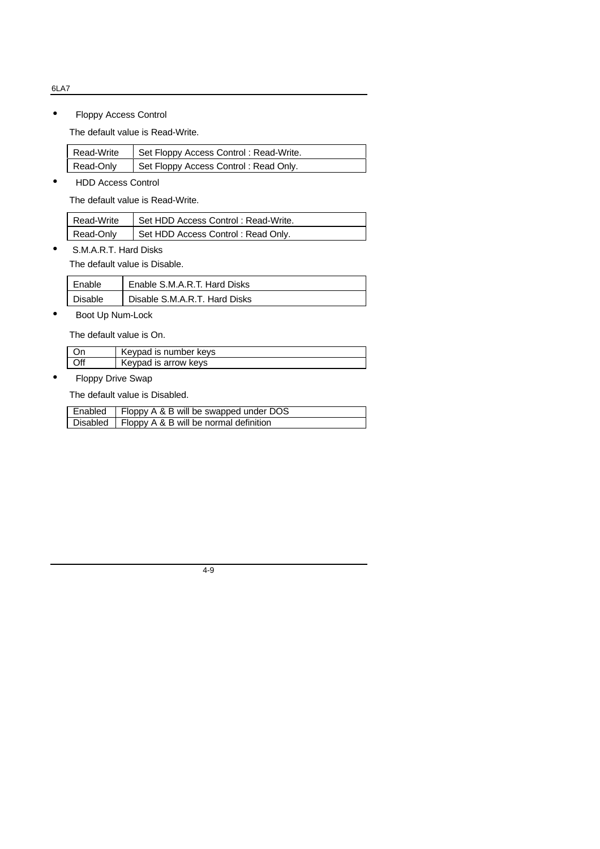• Floppy Access Control

The default value is Read-Write.

| Read-Write | Set Floppy Access Control: Read-Write. |
|------------|----------------------------------------|
| Read-Only  | Set Floppy Access Control: Read Only.  |

┦

• HDD Access Control

The default value is Read-Write.

| Read-Write | Set HDD Access Control: Read-Write. |
|------------|-------------------------------------|
| Read-Only  | Set HDD Access Control: Read Only.  |

• S.M.A.R.T. Hard Disks

The default value is Disable.

| Enable  | Enable S.M.A.R.T. Hard Disks  |
|---------|-------------------------------|
| Disable | Disable S.M.A.R.T. Hard Disks |

• Boot Up Num-Lock

The default value is On.

| Kevpad is number keys |
|-----------------------|
| Keypad is arrow keys  |

• Floppy Drive Swap

The default value is Disabled.

| Enabled   Floppy A & B will be swapped under DOS  |
|---------------------------------------------------|
| Disabled   Floppy A & B will be normal definition |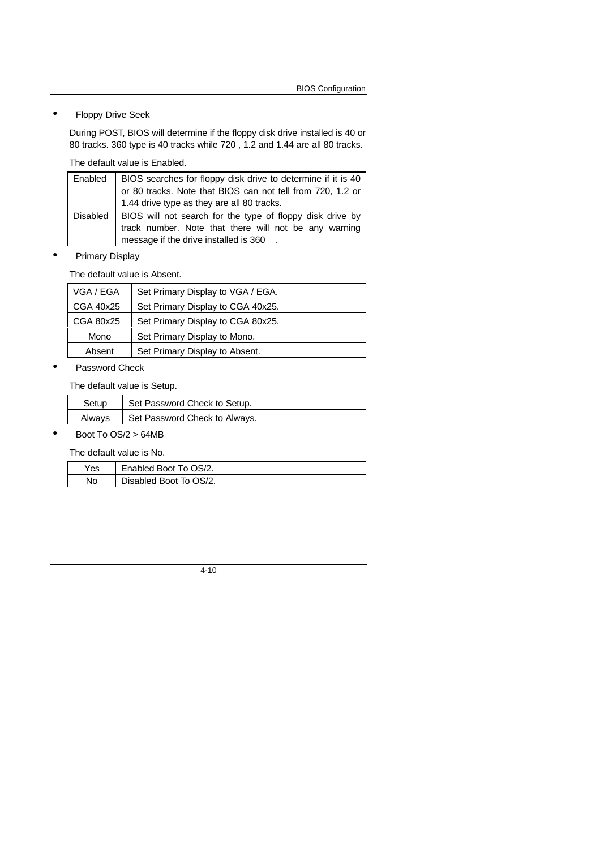• Floppy Drive Seek

During POST, BIOS will determine if the floppy disk drive installed is 40 or 80 tracks. 360 type is 40 tracks while 720 , 1.2 and 1.44 are all 80 tracks.

The default value is Enabled.

| Enabled    | BIOS searches for floppy disk drive to determine if it is 40<br>or 80 tracks. Note that BIOS can not tell from 720, 1.2 or                                   |
|------------|--------------------------------------------------------------------------------------------------------------------------------------------------------------|
|            | 1.44 drive type as they are all 80 tracks.                                                                                                                   |
| Disabled I | BIOS will not search for the type of floppy disk drive by<br>track number. Note that there will not be any warning<br>message if the drive installed is 360. |

• Primary Display

The default value is Absent.

| VGA / EGA | Set Primary Display to VGA / EGA. |
|-----------|-----------------------------------|
| CGA 40x25 | Set Primary Display to CGA 40x25. |
| CGA 80x25 | Set Primary Display to CGA 80x25. |
| Mono      | Set Primary Display to Mono.      |
| Absent    | Set Primary Display to Absent.    |

#### • Password Check

The default value is Setup.

| Setup | Set Password Check to Setup.           |
|-------|----------------------------------------|
|       | Always   Set Password Check to Always. |

• Boot To OS/2 > 64MB

The default value is No.

| Yes | Enabled Boot To OS/2.  |
|-----|------------------------|
| No  | Disabled Boot To OS/2. |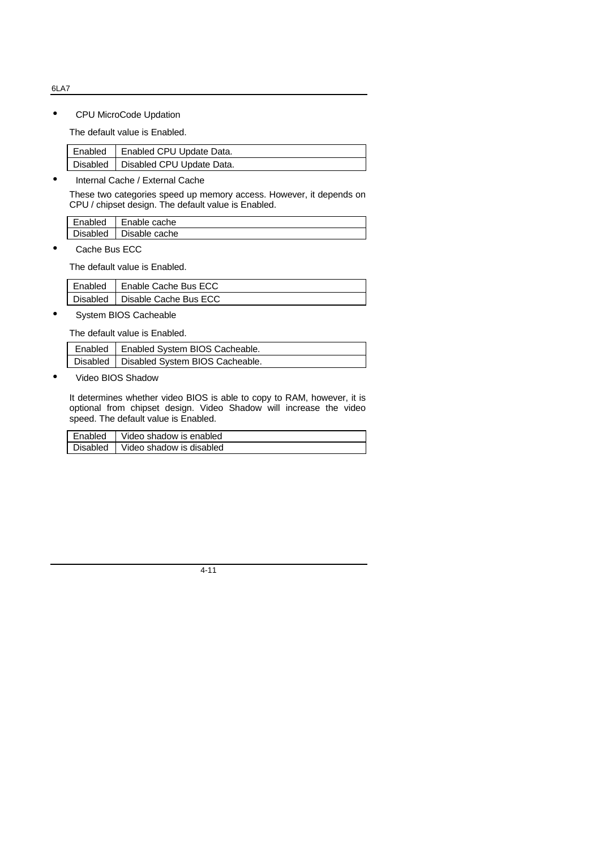• CPU MicroCode Updation

The default value is Enabled.

| Enabled   Enabled CPU Update Data.   |
|--------------------------------------|
| Disabled   Disabled CPU Update Data. |

• Internal Cache / External Cache

These two categories speed up memory access. However, it depends on CPU / chipset design. The default value is Enabled.

| Enabled         | Enable cache  |
|-----------------|---------------|
| <b>Disabled</b> | Disable cache |

Cache Bus ECC

The default value is Enabled.

| Enabled | I Enable Cache Bus ECC           |
|---------|----------------------------------|
|         | Disabled   Disable Cache Bus ECC |

System BIOS Cacheable

The default value is Enabled.

| Enabled   Enabled System BIOS Cacheable.   |
|--------------------------------------------|
| Disabled   Disabled System BIOS Cacheable. |

• Video BIOS Shadow

It determines whether video BIOS is able to copy to RAM, however, it is optional from chipset design. Video Shadow will increase the video speed. The default value is Enabled.

| Enabled  | Video shadow is enabled  |
|----------|--------------------------|
| Disabled | Video shadow is disabled |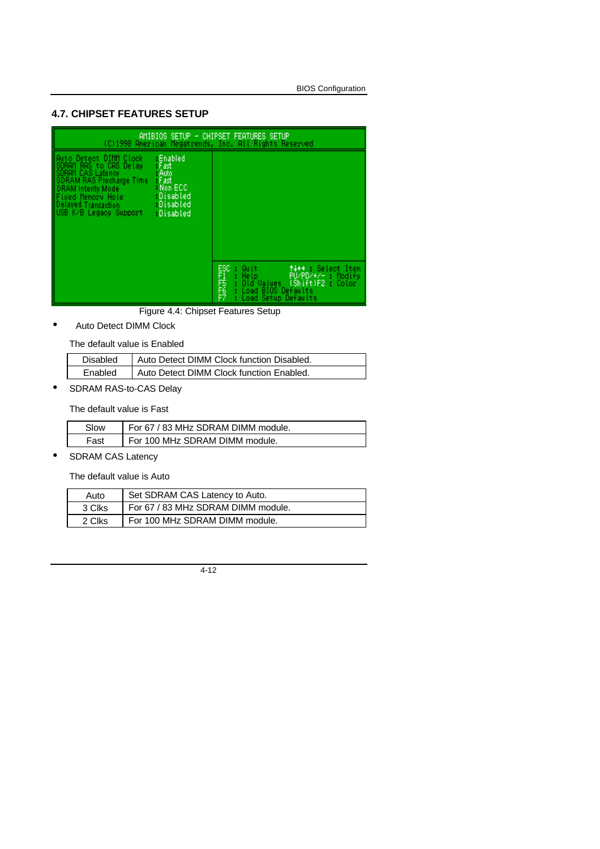### **4.7. CHIPSET FEATURES SETUP**

|                                                                                                                                                                                                                                                                                             | AMIBIOS SETUP - CHIPSET FEATURES SETUP<br>(C)1998 American Megatrends, Inc. All Rights Reserved                                                    |
|---------------------------------------------------------------------------------------------------------------------------------------------------------------------------------------------------------------------------------------------------------------------------------------------|----------------------------------------------------------------------------------------------------------------------------------------------------|
| : Enabled<br>Auto Detect DIMM Clock<br>SDRAM RAS to CAS Delay<br>SDRAM CAS Latency<br>SDRAM RAS Precharge Time<br>DRAM Interity Mode<br>- Fast<br>- Auto<br>- Fast<br>Non ECC<br>Fixed Memory Hole<br>Delayed Transaction<br>Disabled<br><b>Disabled</b><br>USB K/B Legacy Support Disabled | ESC : Quit<br>F1 : Help<br>F5 : Old Values<br>F6 : Load BIOS<br>F7 : Load Setup<br>↑↓←← Select Item<br>: Load BIOS Defaults<br>Load Setup Defaults |

Figure 4.4: Chipset Features Setup

• Auto Detect DIMM Clock

The default value is Enabled

| Disabled | Auto Detect DIMM Clock function Disabled. |
|----------|-------------------------------------------|
| Fnabled  | Auto Detect DIMM Clock function Enabled.  |

• SDRAM RAS-to-CAS Delay

The default value is Fast

| Slow | For 67 / 83 MHz SDRAM DIMM module. |
|------|------------------------------------|
| Fast | For 100 MHz SDRAM DIMM module.     |

• SDRAM CAS Latency

The default value is Auto

| Auto   | Set SDRAM CAS Latency to Auto.     |
|--------|------------------------------------|
| 3 Clks | For 67 / 83 MHz SDRAM DIMM module. |
| 2 Clks | For 100 MHz SDRAM DIMM module.     |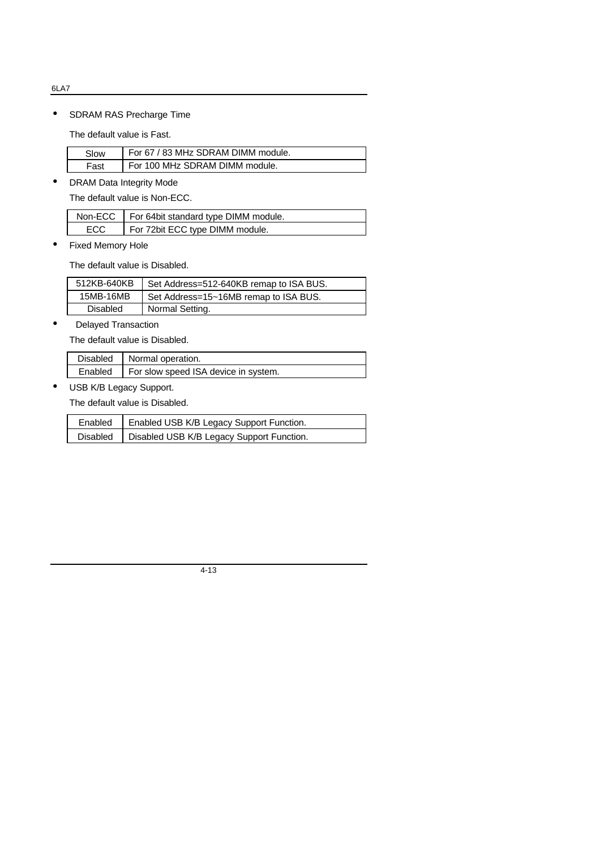• SDRAM RAS Precharge Time

The default value is Fast.

| Slow | For 67 / 83 MHz SDRAM DIMM module. |
|------|------------------------------------|
| Fast | For 100 MHz SDRAM DIMM module.     |

• DRAM Data Integrity Mode

The default value is Non-ECC.

|      | Non-ECC   For 64bit standard type DIMM module. |
|------|------------------------------------------------|
| ECC. | For 72bit ECC type DIMM module.                |

• Fixed Memory Hole

The default value is Disabled.

| 512KB-640KB     | Set Address=512-640KB remap to ISA BUS. |
|-----------------|-----------------------------------------|
| 15MB-16MB       | Set Address=15~16MB remap to ISA BUS.   |
| <b>Disabled</b> | Normal Setting.                         |

• Delayed Transaction

The default value is Disabled.

| Disabled   Normal operation.                   |
|------------------------------------------------|
| Enabled   For slow speed ISA device in system. |

• USB K/B Legacy Support.

The default value is Disabled.

| Enabled | Enabled USB K/B Legacy Support Function.             |
|---------|------------------------------------------------------|
|         | Disabled   Disabled USB K/B Legacy Support Function. |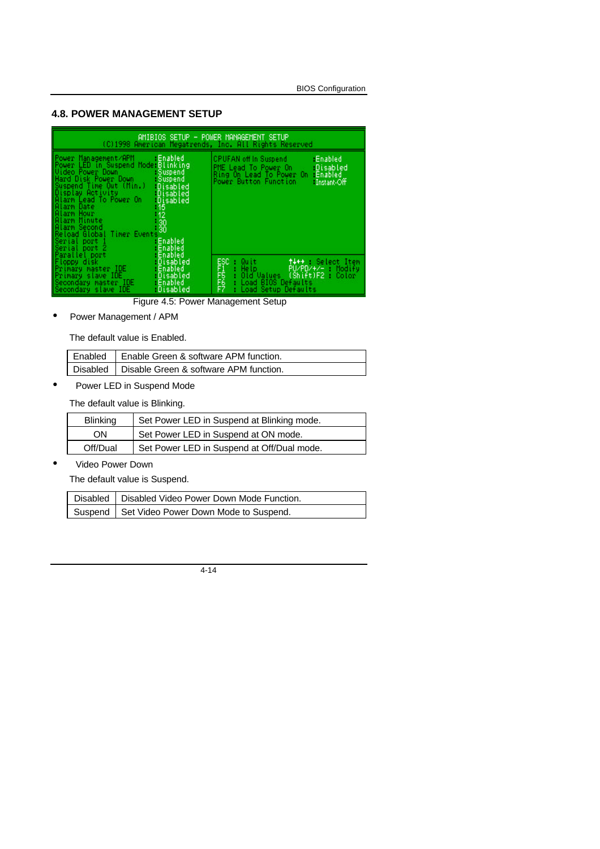#### **4.8. POWER MANAGEMENT SETUP**

| AMIBIOS SETUP - POWER MANAGEMENT SETUP<br>(C)1998 American Megatrends, Inc. All Rights Reserved                                                                                                                                                                                                                 |                                                                                              |                                                                                                                                       |                                      |
|-----------------------------------------------------------------------------------------------------------------------------------------------------------------------------------------------------------------------------------------------------------------------------------------------------------------|----------------------------------------------------------------------------------------------|---------------------------------------------------------------------------------------------------------------------------------------|--------------------------------------|
| Power Management/APM<br>Power LED in Suspend Mode: Blinking<br>Uideo Power Down States<br>Hard Disk Power Down<br>Suspend Time Out (Min.)<br>Display Activity : Disabled<br>Alarm Lead To Power On<br>Alarm Date<br>Alarm Hour<br>Alarm Minute<br>Alarm Second<br>Alarm Second<br>Reload Global<br>Timer Events | Enabled<br>Suspend<br>:Suspend<br>- Disabled<br>Disabled<br>- 16<br>$-12$<br>$\frac{30}{30}$ | CPUFAN off in Suspend<br>PME Lead To Power On<br>Ring On Lead To Power On : Enabled<br>Power Button Function                          | Enabled<br>- Disabled<br>Instant-Off |
| Floppy disk in<br>Primary master IDE<br>Primary slave IDE (1996)<br>Secondary master IDE<br>Secondary slave IDE                                                                                                                                                                                                 | - Disabled<br>Enabled<br>Disabled<br>: Enabled<br>Disabled                                   | ESC : Quit the : Select Item<br>F1 : Help<br>F5 : Did Values (Shift)F2 : Color<br>F6 : Load B10S Defaults<br>F7 : Load Setup Defaults |                                      |

Figure 4.5: Power Management Setup

• Power Management / APM

The default value is Enabled.

| Enabled   Enable Green & software APM function.   |
|---------------------------------------------------|
| Disabled   Disable Green & software APM function. |

• Power LED in Suspend Mode

The default value is Blinking.

| <b>Blinking</b> | Set Power LED in Suspend at Blinking mode. |
|-----------------|--------------------------------------------|
| OΝ              | Set Power LED in Suspend at ON mode.       |
| Off/Dual        | Set Power LED in Suspend at Off/Dual mode. |

• Video Power Down

The default value is Suspend.

| Disabled   Disabled Video Power Down Mode Function. |
|-----------------------------------------------------|
| Suspend   Set Video Power Down Mode to Suspend.     |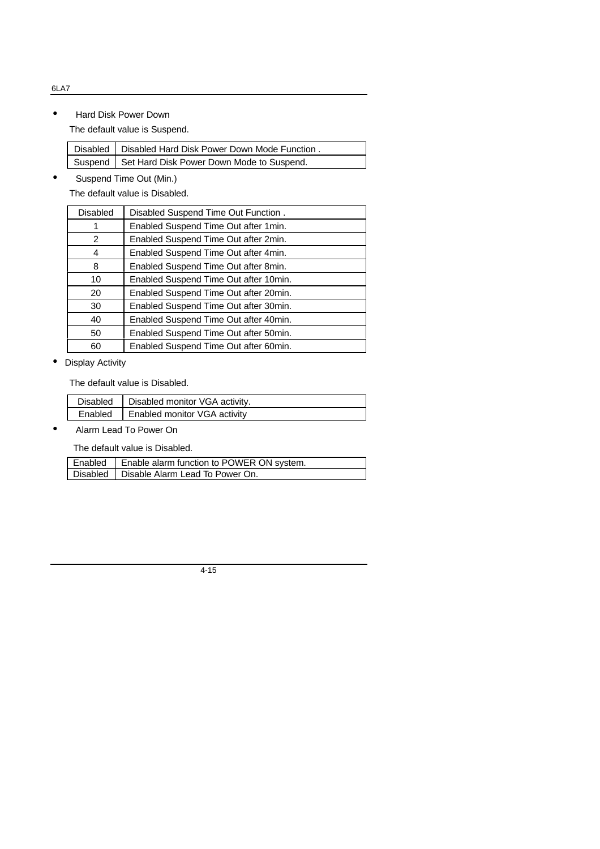• Hard Disk Power Down

The default value is Suspend.

| Disabled   Disabled Hard Disk Power Down Mode Function. |
|---------------------------------------------------------|
| Suspend   Set Hard Disk Power Down Mode to Suspend.     |

• Suspend Time Out (Min.)

The default value is Disabled.

| <b>Disabled</b> | Disabled Suspend Time Out Function.   |
|-----------------|---------------------------------------|
| 1               | Enabled Suspend Time Out after 1 min. |
| 2               | Enabled Suspend Time Out after 2min.  |
| 4               | Enabled Suspend Time Out after 4min.  |
| 8               | Enabled Suspend Time Out after 8min.  |
| 10              | Enabled Suspend Time Out after 10min. |
| 20              | Enabled Suspend Time Out after 20min. |
| 30              | Enabled Suspend Time Out after 30min. |
| 40              | Enabled Suspend Time Out after 40min. |
| 50              | Enabled Suspend Time Out after 50min. |
| 60              | Enabled Suspend Time Out after 60min. |

• Display Activity

The default value is Disabled.

| Disabled   Disabled monitor VGA activity. |
|-------------------------------------------|
| Enabled   Enabled monitor VGA activity    |

• Alarm Lead To Power On

The default value is Disabled.

| Enabled   Enable alarm function to POWER ON system. |
|-----------------------------------------------------|
| Disabled   Disable Alarm Lead To Power On.          |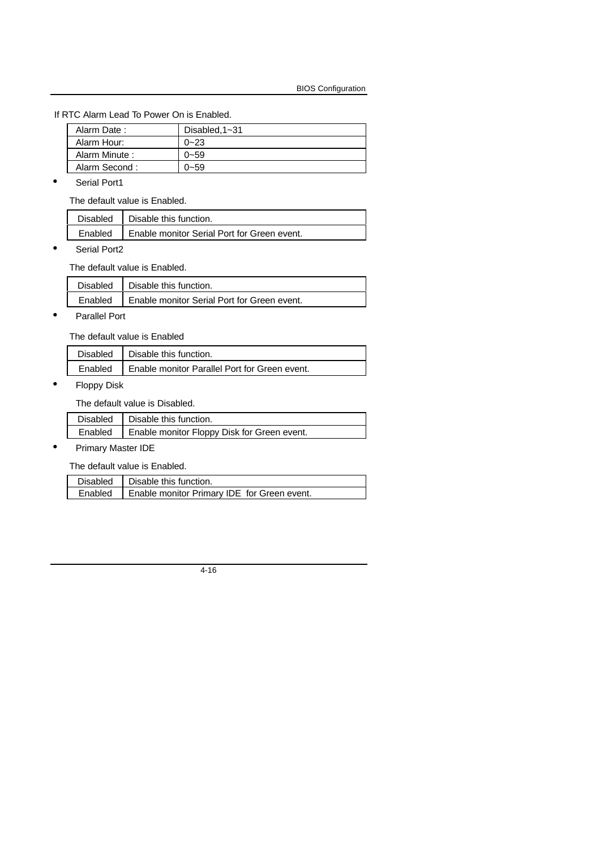If RTC Alarm Lead To Power On is Enabled.

| Alarm Date:   | Disabled, $1 - 31$ |
|---------------|--------------------|
| Alarm Hour:   | $0 - 23$           |
| Alarm Minute: | $0 - 59$           |
| Alarm Second: | $0 - 59$           |

• Serial Port1

The default value is Enabled.

| Disabled   Disable this function.                     |
|-------------------------------------------------------|
| Enabled   Enable monitor Serial Port for Green event. |

• Serial Port2

The default value is Enabled.

| Disabled   Disable this function.                     |
|-------------------------------------------------------|
| Enabled   Enable monitor Serial Port for Green event. |

• Parallel Port

The default value is Enabled

| Disabled   Disable this function.                       |
|---------------------------------------------------------|
| Enabled   Enable monitor Parallel Port for Green event. |

• Floppy Disk

The default value is Disabled.

| Disabled   Disable this function.                     |
|-------------------------------------------------------|
| Enabled   Enable monitor Floppy Disk for Green event. |
|                                                       |

# • Primary Master IDE

The default value is Enabled.

|         | Disabled   Disable this function.           |
|---------|---------------------------------------------|
| Enabled | Enable monitor Primary IDE for Green event. |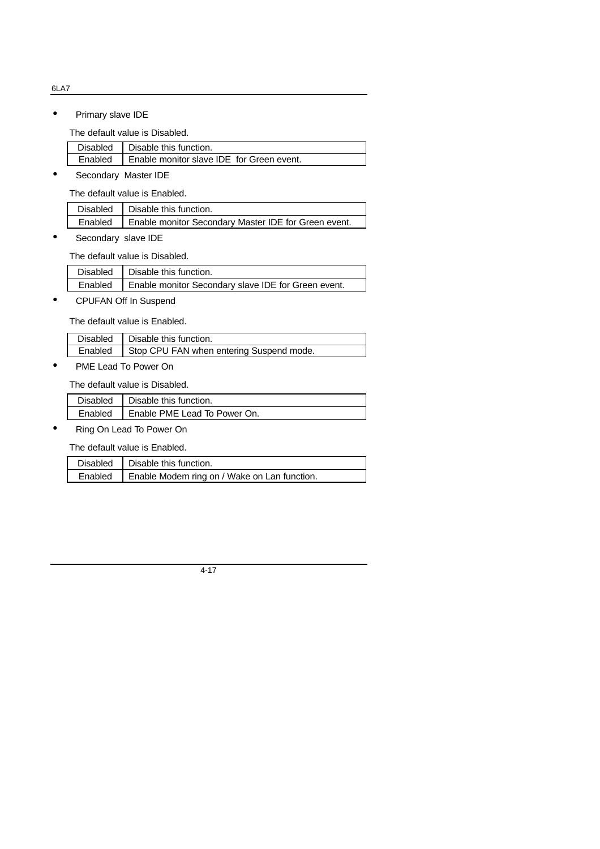• Primary slave IDE

The default value is Disabled.

| Disabled   Disable this function.                   |
|-----------------------------------------------------|
| Enabled   Enable monitor slave IDE for Green event. |

• Secondary Master IDE

The default value is Enabled.

| Disabled   Disable this function.                              |
|----------------------------------------------------------------|
| Enabled   Enable monitor Secondary Master IDE for Green event. |

• Secondary slave IDE

The default value is Disabled.

|  | Disabled   Disable this function.                             |  |
|--|---------------------------------------------------------------|--|
|  | Enabled   Enable monitor Secondary slave IDE for Green event. |  |

• CPUFAN Off In Suspend

The default value is Enabled.

|         | Disabled   Disable this function.        |
|---------|------------------------------------------|
| Enabled | Stop CPU FAN when entering Suspend mode. |

 $\overline{\phantom{a}}$ 

• PME Lead To Power On

The default value is Disabled.

| Disabled   Disable this function.      |
|----------------------------------------|
| Enabled   Enable PME Lead To Power On. |

• Ring On Lead To Power On

The default value is Enabled.

| Disabled   Disable this function.                      |
|--------------------------------------------------------|
| Enabled   Enable Modem ring on / Wake on Lan function. |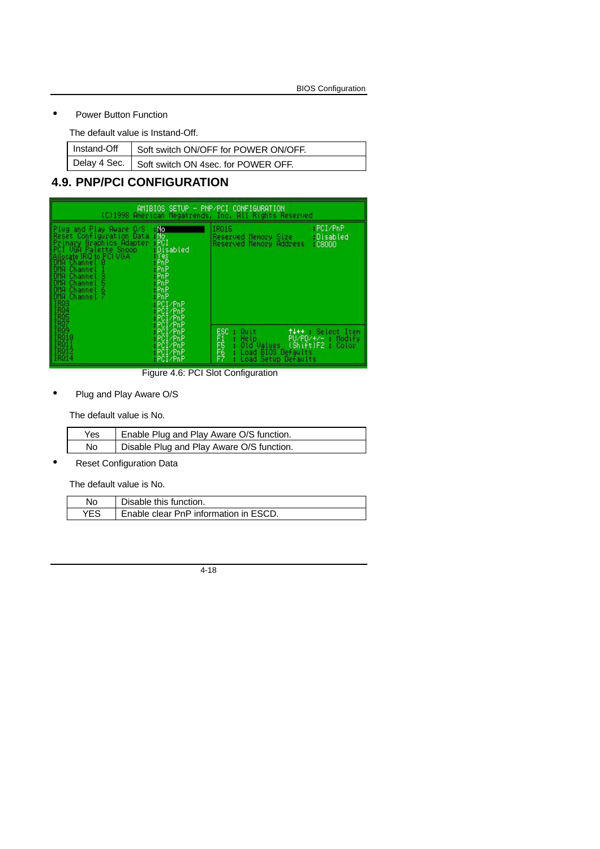### • Power Button Function

The default value is Instand-Off.

| Instand-Off   Soft switch ON/OFF for POWER ON/OFF. |
|----------------------------------------------------|
| Delay 4 Sec.   Soft switch ON 4sec. for POWER OFF. |

# **4.9. PNP/PCI CONFIGURATION**

|                                                                                                                                                                                                                                                  |                                                                                                                    | AMIBIOS SETUP – PNP/PCI CONFIGURATION<br>(C)1998 American Megatrends, Inc. All Rights Reserved           |                                                                 |
|--------------------------------------------------------------------------------------------------------------------------------------------------------------------------------------------------------------------------------------------------|--------------------------------------------------------------------------------------------------------------------|----------------------------------------------------------------------------------------------------------|-----------------------------------------------------------------|
| Plug and Play Aware O/S<br>Reset Configuration Data<br>Primary Braphics Rdapter<br>PCI UGA Palette Snoop<br>Allocate IRQ to PCI VGA<br>DMA Channel 1<br>DMA Channel 1<br>PMA Channel 3<br><b>Joveneo</b><br>Bie<br>Channel<br>Channel<br>Channel | -No<br>- No<br>- PCI<br>Disabled<br>åaeeeeee<br>Seeeeeee<br>S≻eeeeee<br>-PCI/PnP<br>PCI/PnP<br>⊪PCI⁄PnP<br>PCI/PnP | IR015<br>Reserved Memory Size<br>Reserved Memory Address                                                 | PCI/PnP<br>Disabled<br>$-0.8000$                                |
| 011<br>1808 1808<br>1808 1809<br>18011 18012<br>18012 18014                                                                                                                                                                                      | ⊢PCI⁄PnP<br>PCI/PnP<br>PCI/PnP<br>PCI/PnP<br>PCI/PnP                                                               | ESC<br>F1556<br>FFFFFF<br>Quit<br>He Lp<br>Old Values<br>BIOS Defaults<br>Load<br>Setup Defaults<br>Load | t+++ : Select Item<br>PU/PD/+/-<br>Modify<br>(Shift)F2<br>Color |

Figure 4.6: PCI Slot Configuration

• Plug and Play Aware O/S

The default value is No.

| Yes. | Enable Plug and Play Aware O/S function.  |
|------|-------------------------------------------|
| No   | Disable Plug and Play Aware O/S function. |

• Reset Configuration Data

The default value is No.

| No.        | Disable this function.                |
|------------|---------------------------------------|
| <b>YES</b> | Enable clear PnP information in ESCD. |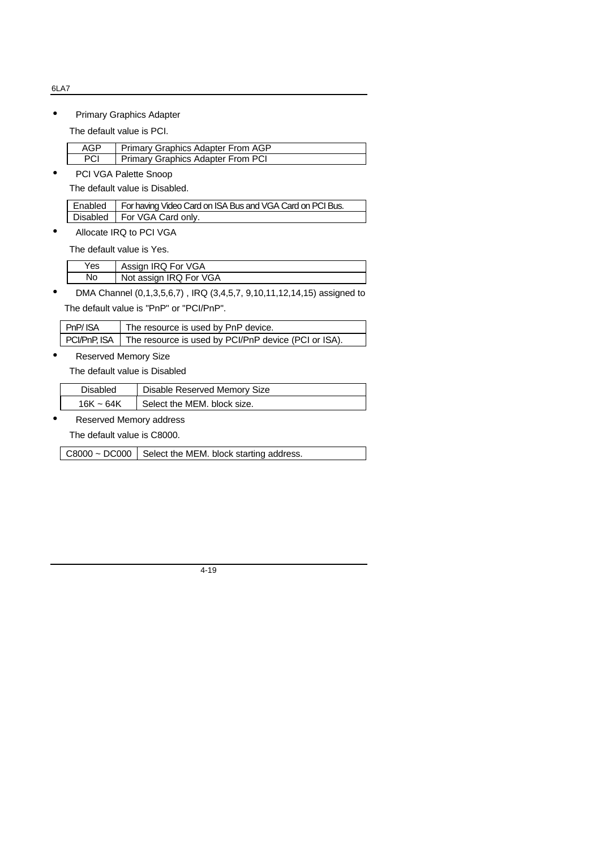• Primary Graphics Adapter

The default value is PCI.

| AGP | Primary Graphics Adapter From AGP        |
|-----|------------------------------------------|
| PCI | <b>Primary Graphics Adapter From PCI</b> |

• PCI VGA Palette Snoop

The default value is Disabled.

| Enabled   For having Video Card on ISA Bus and VGA Card on PCI Bus. |
|---------------------------------------------------------------------|
| Disabled   For VGA Card only.                                       |

• Allocate IRQ to PCI VGA

The default value is Yes.

| Yes | Assign IRQ For VGA     |
|-----|------------------------|
|     | Not assign IRQ For VGA |

• DMA Channel (0,1,3,5,6,7), IRQ (3,4,5,7, 9,10,11,12,14,15) assigned to The default value is "PnP" or "PCI/PnP".

| PnP/ISA | The resource is used by PnP device.                                 |
|---------|---------------------------------------------------------------------|
|         | PCI/PnP, ISA   The resource is used by PCI/PnP device (PCI or ISA). |

• Reserved Memory Size

The default value is Disabled

| Disabled       | Disable Reserved Memory Size |
|----------------|------------------------------|
| $16K \sim 64K$ | Select the MEM. block size.  |

#### • Reserved Memory address

The default value is C8000.

C8000 ~ DC000 Select the MEM. block starting address.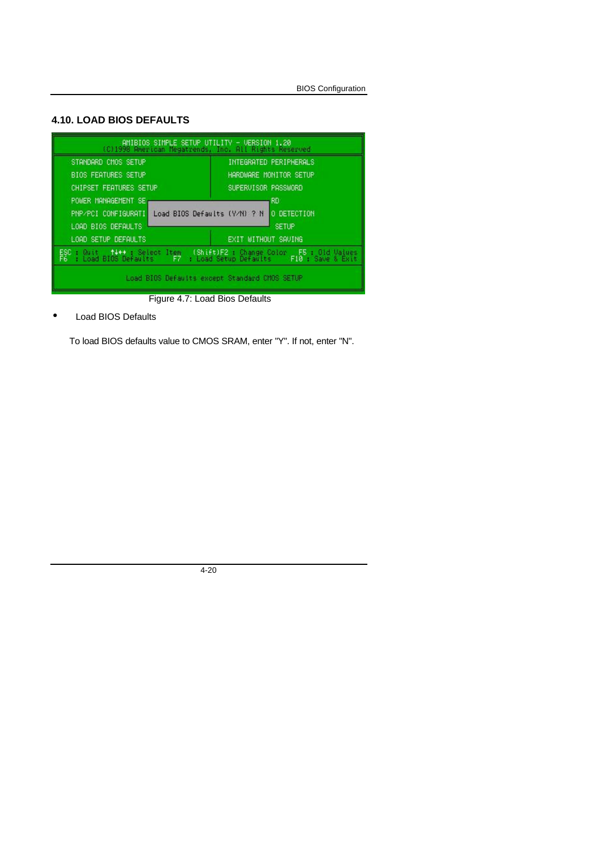# **4.10. LOAD BIOS DEFAULTS**

| AMIBIOS SIMPLE SETUP UTILITY - VERSION 1.20<br>(C)1998 American Megatrends, Inc. All Rights Reserved                                          |                        |
|-----------------------------------------------------------------------------------------------------------------------------------------------|------------------------|
| STANDARD CMOS SETUP                                                                                                                           | INTEGRATED PERIPHERALS |
| <b>BIOS FEATURES SETUP</b>                                                                                                                    | HARDWARE MONITOR SETUP |
| CHIPSET FEATURES SETUP.                                                                                                                       | SUPERVISOR PASSWORD    |
| POWER MANAGEMENT SE                                                                                                                           | RD.                    |
| PNP/PCI CONFIGURATI Load BIOS Defaults (Y/N) ? N O DETECTION                                                                                  |                        |
| LOAD BIOS DEFAULTS<br><b>SETUP</b>                                                                                                            |                        |
| LOAD SETUP DEFAULTS<br>EXIT WITHOUT SAVING                                                                                                    |                        |
| ESC : Quit (14++ : Select Item (Shift)F2 : Change Color F5 : Gid Values<br>F6 : Load BIOS Defaults F7 : Load Setup Defaults F10 : Save & Exit |                        |
| Load BIOS Defaults except Standard CMOS SETUP                                                                                                 |                        |

Figure 4.7: Load Bios Defaults

• Load BIOS Defaults

To load BIOS defaults value to CMOS SRAM, enter "Y". If not, enter "N".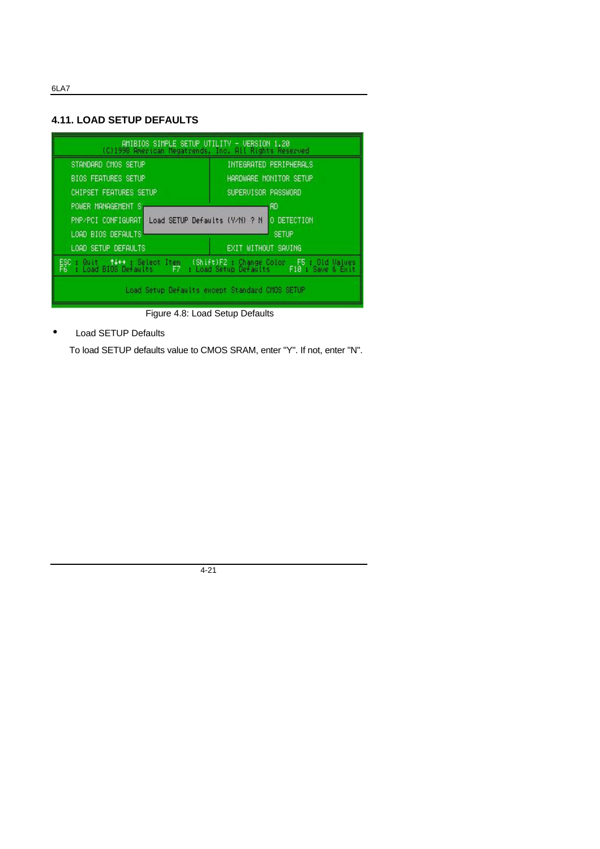# **4.11. LOAD SETUP DEFAULTS**

| AMIBIOS SIMPLE SETUP UTILITY - VERSION 1.20<br>(C)1998 American Megatrends, Inc. All Rights Reserved                                                 |                        |  |
|------------------------------------------------------------------------------------------------------------------------------------------------------|------------------------|--|
| STANDARD CMOS SETUP                                                                                                                                  | INTEGRATED PERIPHERALS |  |
| <b>BIOS FEATURES SETUP</b>                                                                                                                           | HARDWARE MONITOR SETUP |  |
| <b>CHIPSET FEATURES SETUP</b>                                                                                                                        | SUPERVISOR PASSWORD    |  |
| POWER MANAGEMENT S                                                                                                                                   | -RD                    |  |
| Load SETUP Defaults (Y/N) ? N<br>O DETECTION<br>PNP/PCI CONFIGURAT N                                                                                 |                        |  |
| LOAD BIOS DEFAULTS<br><b>SETUP</b>                                                                                                                   |                        |  |
| LOAD SETUP DEFAULTS<br>EXIT WITHOUT SAUING                                                                                                           |                        |  |
| ESC : Quit   †4++ : Select Item (Shift)F2 : Change Color   F5 : Old Values<br>F6 : Load BIOS Defaults   F7 : Load Setup Defaults   F10 : Save & Exit |                        |  |
| Load Setup Defaults except Standard CMOS SETUP                                                                                                       |                        |  |

Figure 4.8: Load Setup Defaults

• Load SETUP Defaults

To load SETUP defaults value to CMOS SRAM, enter "Y". If not, enter "N".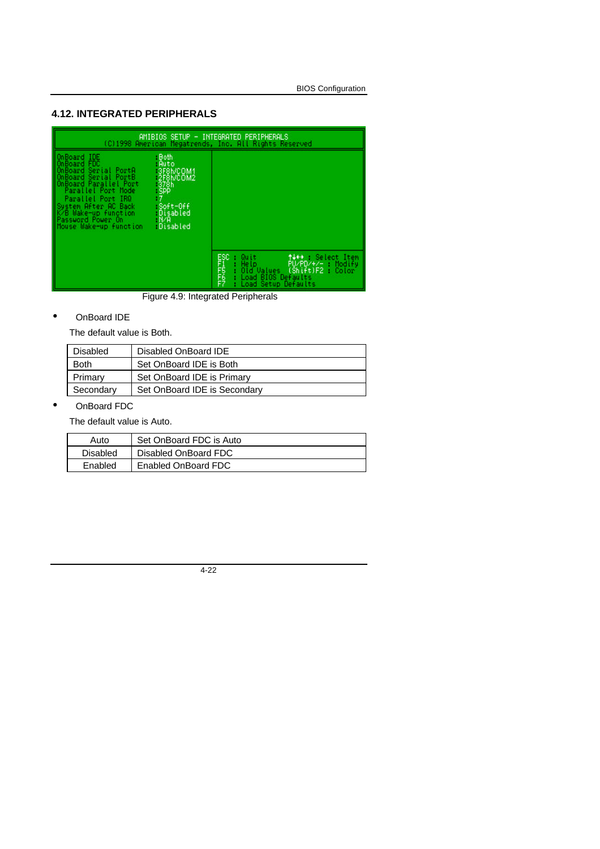# **4.12. INTEGRATED PERIPHERALS**

| AMIBIOS SETUP - INTEGRATED PERIPHERALS<br>(C)1998 American Megatrends, Inc. All Rights Reserved                                                                                                                                                                                            |                                                                                    |                                                                                                                                                               |
|--------------------------------------------------------------------------------------------------------------------------------------------------------------------------------------------------------------------------------------------------------------------------------------------|------------------------------------------------------------------------------------|---------------------------------------------------------------------------------------------------------------------------------------------------------------|
| - Both<br>OnBoard IDE<br>FDC.<br>OnBoard<br>OnBoard Serial PortA<br><b>MOnBoard Serial PortB</b><br>OnBoard Parallel Port<br>Parallel Port Mode<br><b>SPP</b><br>Parallel Port IRQ<br>System After AC Back<br>K/B Wake-up function<br>Password Power On<br>- N/A<br>Mouse Wake-up function | - Auto<br>3F8h/COM1<br>2F8h/COM2<br>$-378h$<br>-Soft-Off<br>.Disabled<br>.Disabled |                                                                                                                                                               |
|                                                                                                                                                                                                                                                                                            |                                                                                    | ESC<br>FRITS<br>F7<br>Quit<br>titt : Select Item<br>PU/PD/+/- Modify<br>He Ip.<br>(Shift)F2: Color<br>Old Values<br>Load BIOS Defaults<br>Load Setup Defaults |

Figure 4.9: Integrated Peripherals

# • OnBoard IDE

The default value is Both.

| <b>Disabled</b> | Disabled OnBoard IDE         |
|-----------------|------------------------------|
| <b>Both</b>     | Set OnBoard IDE is Both      |
| Primary         | Set OnBoard IDE is Primary   |
| Secondary       | Set OnBoard IDE is Secondary |

# • OnBoard FDC

The default value is Auto.

| Auto     | Set OnBoard FDC is Auto |
|----------|-------------------------|
| Disabled | Disabled OnBoard FDC    |
| Enabled  | Enabled OnBoard FDC     |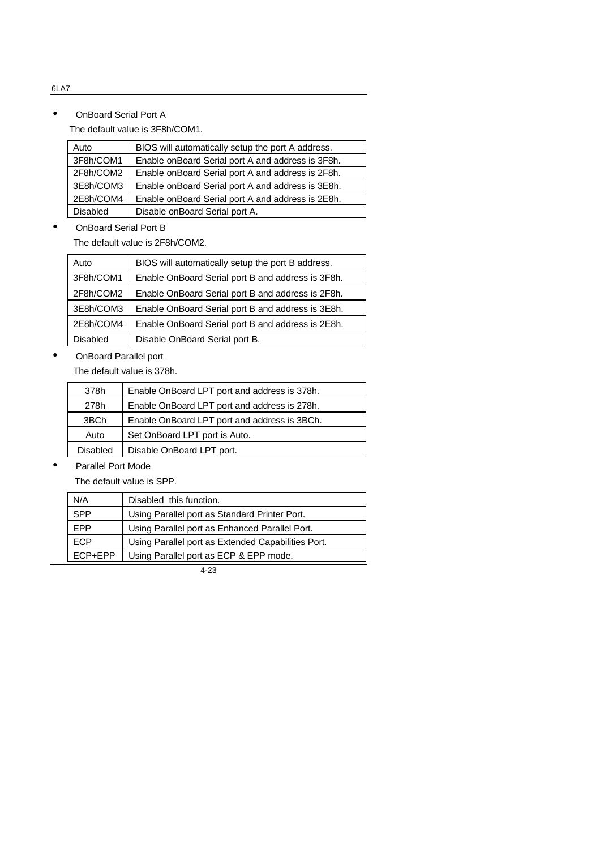# • OnBoard Serial Port A

The default value is 3F8h/COM1.

| Auto            | BIOS will automatically setup the port A address. |
|-----------------|---------------------------------------------------|
| 3F8h/COM1       | Enable onBoard Serial port A and address is 3F8h. |
| 2F8h/COM2       | Enable onBoard Serial port A and address is 2F8h. |
| 3E8h/COM3       | Enable onBoard Serial port A and address is 3E8h. |
| 2E8h/COM4       | Enable onBoard Serial port A and address is 2E8h. |
| <b>Disabled</b> | Disable onBoard Serial port A.                    |
|                 |                                                   |

# • OnBoard Serial Port B

The default value is 2F8h/COM2.

| Auto            | BIOS will automatically setup the port B address. |
|-----------------|---------------------------------------------------|
| 3F8h/COM1       | Enable OnBoard Serial port B and address is 3F8h. |
| 2F8h/COM2       | Enable OnBoard Serial port B and address is 2F8h. |
| 3E8h/COM3       | Enable OnBoard Serial port B and address is 3E8h. |
| 2E8h/COM4       | Enable OnBoard Serial port B and address is 2E8h. |
| <b>Disabled</b> | Disable OnBoard Serial port B.                    |

#### • OnBoard Parallel port

The default value is 378h.

| 378h            | Enable OnBoard LPT port and address is 378h. |
|-----------------|----------------------------------------------|
| 278h            | Enable OnBoard LPT port and address is 278h. |
| 3BCh            | Enable OnBoard LPT port and address is 3BCh. |
| Auto            | Set OnBoard LPT port is Auto.                |
| <b>Disabled</b> | Disable OnBoard LPT port.                    |
|                 |                                              |

• Parallel Port Mode

The default value is SPP.

| N/A         | Disabled this function.                            |
|-------------|----------------------------------------------------|
| <b>SPP</b>  | Using Parallel port as Standard Printer Port.      |
| <b>EPP</b>  | Using Parallel port as Enhanced Parallel Port.     |
| <b>ECP</b>  | Using Parallel port as Extended Capabilities Port. |
| $FCP + EPP$ | Using Parallel port as ECP & EPP mode.             |

4-23

#### 6LA7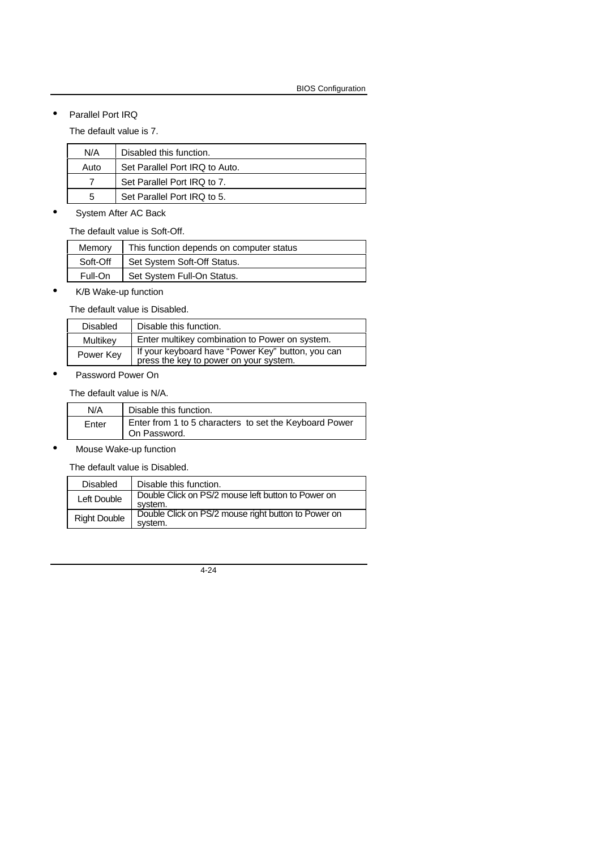• Parallel Port IRQ

The default value is 7.

| N/A  | Disabled this function.        |
|------|--------------------------------|
| Auto | Set Parallel Port IRQ to Auto. |
|      | Set Parallel Port IRQ to 7.    |
| 5    | Set Parallel Port IRQ to 5.    |

System After AC Back

The default value is Soft-Off.

| Memorv   | This function depends on computer status |
|----------|------------------------------------------|
| Soft-Off | Set System Soft-Off Status.              |
| Full-On  | Set System Full-On Status.               |
|          |                                          |

• K/B Wake-up function

The default value is Disabled.

| <b>Disabled</b> | Disable this function.                                                                      |
|-----------------|---------------------------------------------------------------------------------------------|
| Multikey        | Enter multikey combination to Power on system.                                              |
| Power Key       | If your keyboard have "Power Key" button, you can<br>press the key to power on your system. |
|                 |                                                                                             |

• Password Power On

The default value is N/A.

| N/A   | Disable this function.                                                 |
|-------|------------------------------------------------------------------------|
| Enter | Enter from 1 to 5 characters to set the Keyboard Power<br>On Password. |

• Mouse Wake-up function

The default value is Disabled.

| <b>Disabled</b>     | Disable this function.                                         |  |  |
|---------------------|----------------------------------------------------------------|--|--|
| Left Double         | Double Click on PS/2 mouse left button to Power on<br>system.  |  |  |
| <b>Right Double</b> | Double Click on PS/2 mouse right button to Power on<br>system. |  |  |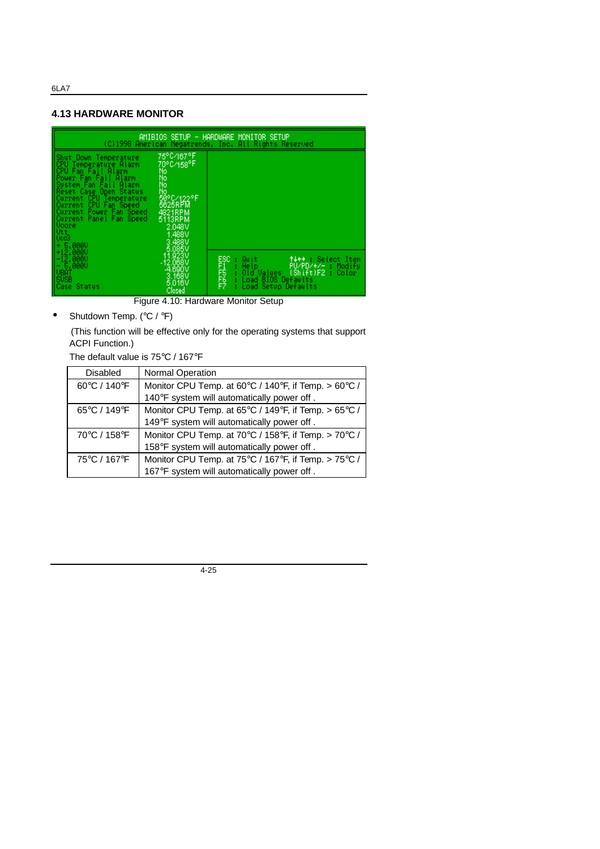# **4.13 HARDWARE MONITOR**



Figure 4.10: Hardware Monitor Setup

Shutdown Temp. (°C / °F)

 (This function will be effective only for the operating systems that support ACPI Function.)

The default value is 75°C / 167°F

| Disabled     | <b>Normal Operation</b>                              |
|--------------|------------------------------------------------------|
| 60°C / 140°F | Monitor CPU Temp. at 60°C / 140°F, if Temp. > 60°C / |
|              | 140°F system will automatically power off.           |
| 65°C / 149°F | Monitor CPU Temp. at 65°C / 149°F, if Temp. > 65°C / |
|              | 149°F system will automatically power off.           |
| 70°C / 158°F | Monitor CPU Temp. at 70°C / 158°F, if Temp. > 70°C / |
|              | 158°F system will automatically power off.           |
| 75°C / 167°F | Monitor CPU Temp. at 75°C / 167°F, if Temp. > 75°C / |
|              | 167°F system will automatically power off.           |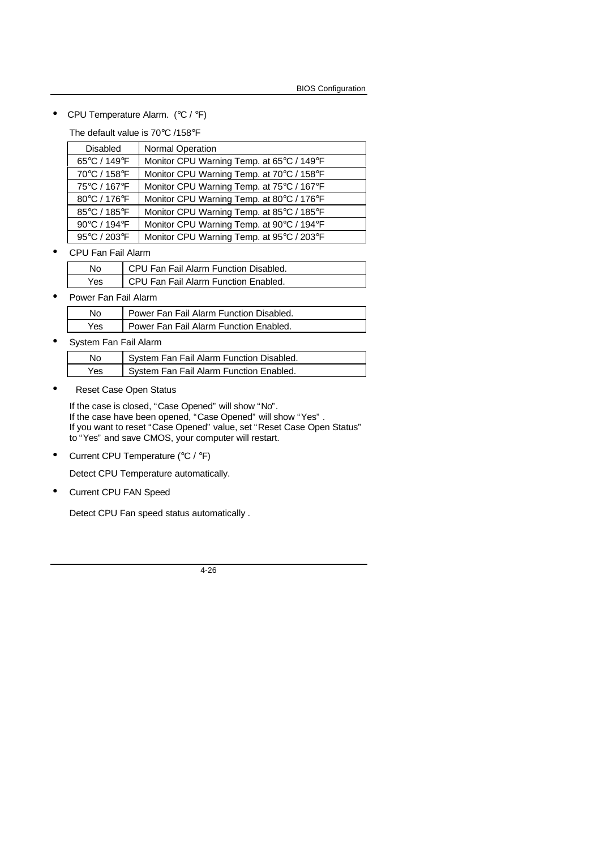• CPU Temperature Alarm. (°C / °F)

The default value is 70°C /158°F

| Disabled     | <b>Normal Operation</b>                   |
|--------------|-------------------------------------------|
| 65°C / 149°F | Monitor CPU Warning Temp. at 65°C / 149°F |
| 70°C / 158°F | Monitor CPU Warning Temp. at 70°C / 158°F |
| 75°C / 167°F | Monitor CPU Warning Temp. at 75°C / 167°F |
| 80°C / 176°F | Monitor CPU Warning Temp. at 80°C / 176°F |
| 85°C / 185°F | Monitor CPU Warning Temp. at 85°C / 185°F |
| 90°C / 194°F | Monitor CPU Warning Temp. at 90°C / 194°F |
| 95°C / 203°F | Monitor CPU Warning Temp. at 95°C / 203°F |

• CPU Fan Fail Alarm

| No. | CPU Fan Fail Alarm Function Disabled. |
|-----|---------------------------------------|
| Yes | CPU Fan Fail Alarm Function Enabled.  |

• Power Fan Fail Alarm

| No  | Power Fan Fail Alarm Function Disabled. |
|-----|-----------------------------------------|
| Yes | Power Fan Fail Alarm Function Enabled.  |

• System Fan Fail Alarm

| No   | System Fan Fail Alarm Function Disabled. |
|------|------------------------------------------|
| Yes. | System Fan Fail Alarm Function Enabled.  |

• Reset Case Open Status

If the case is closed, "Case Opened" will show "No". If the case have been opened, "Case Opened" will show "Yes" . If you want to reset "Case Opened" value, set "Reset Case Open Status" to "Yes" and save CMOS, your computer will restart.

• Current CPU Temperature (°C / °F)

Detect CPU Temperature automatically.

• Current CPU FAN Speed

Detect CPU Fan speed status automatically .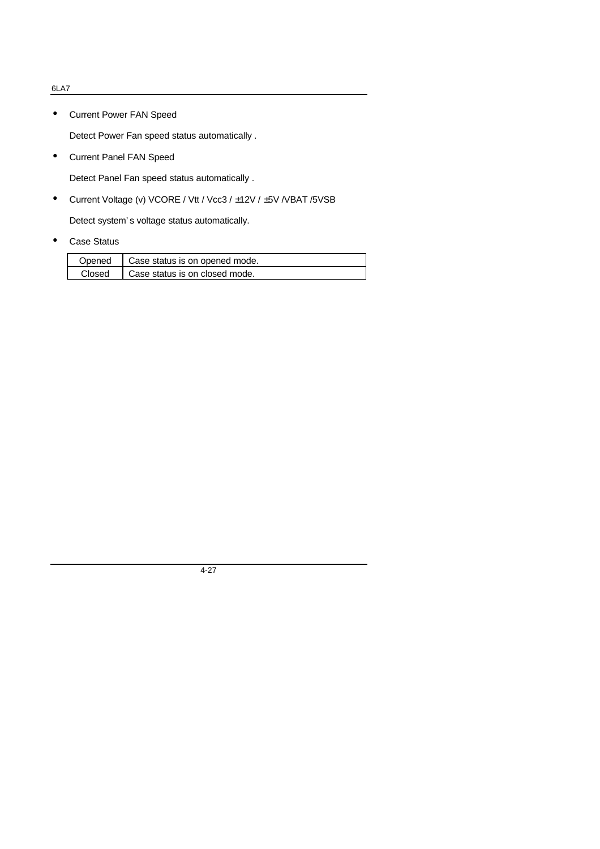• Current Power FAN Speed

Detect Power Fan speed status automatically .

• Current Panel FAN Speed

Detect Panel Fan speed status automatically .

• Current Voltage (v) VCORE / Vtt / Vcc3 / ±12V / ±5V /VBAT /5VSB

Detect system' s voltage status automatically.

• Case Status

|        | Opened   Case status is on opened mode. |
|--------|-----------------------------------------|
| Closed | Case status is on closed mode.          |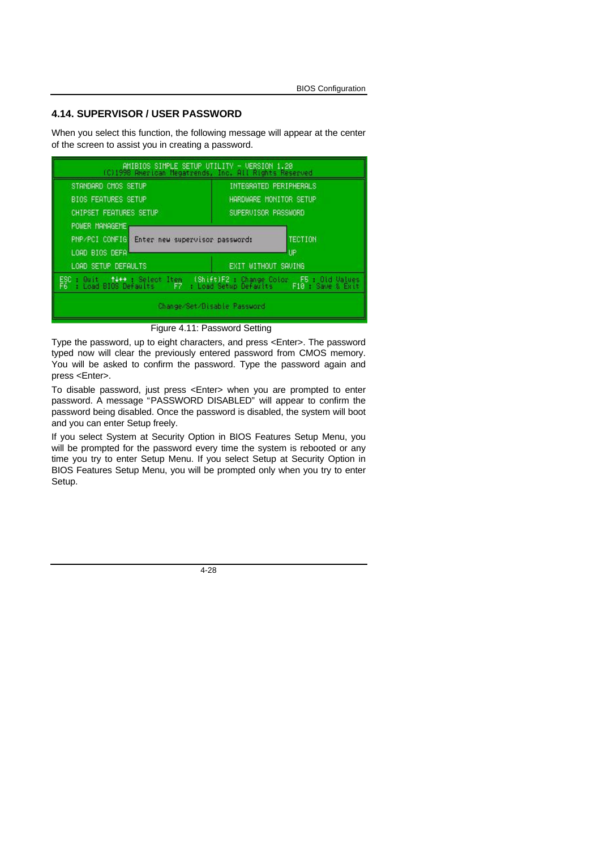#### **4.14. SUPERVISOR / USER PASSWORD**

When you select this function, the following message will appear at the center of the screen to assist you in creating a password.



Figure 4.11: Password Setting

Type the password, up to eight characters, and press <Enter>. The password typed now will clear the previously entered password from CMOS memory. You will be asked to confirm the password. Type the password again and press <Enter>.

To disable password, just press <Enter> when you are prompted to enter password. A message "PASSWORD DISABLED" will appear to confirm the password being disabled. Once the password is disabled, the system will boot and you can enter Setup freely.

If you select System at Security Option in BIOS Features Setup Menu, you will be prompted for the password every time the system is rebooted or any time you try to enter Setup Menu. If you select Setup at Security Option in BIOS Features Setup Menu, you will be prompted only when you try to enter Setup.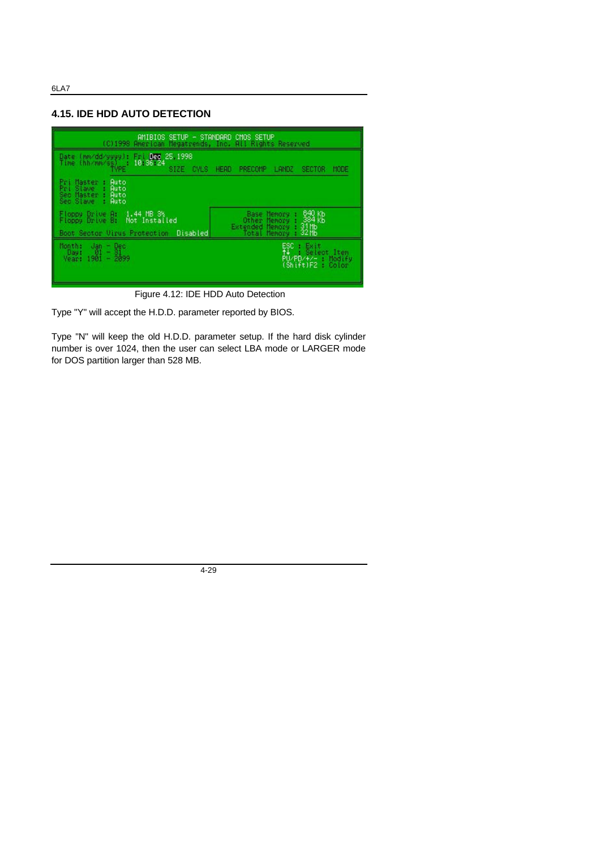#### **4.15. IDE HDD AUTO DETECTION**



Figure 4.12: IDE HDD Auto Detection

Type "Y" will accept the H.D.D. parameter reported by BIOS.

Type "N" will keep the old H.D.D. parameter setup. If the hard disk cylinder number is over 1024, then the user can select LBA mode or LARGER mode for DOS partition larger than 528 MB.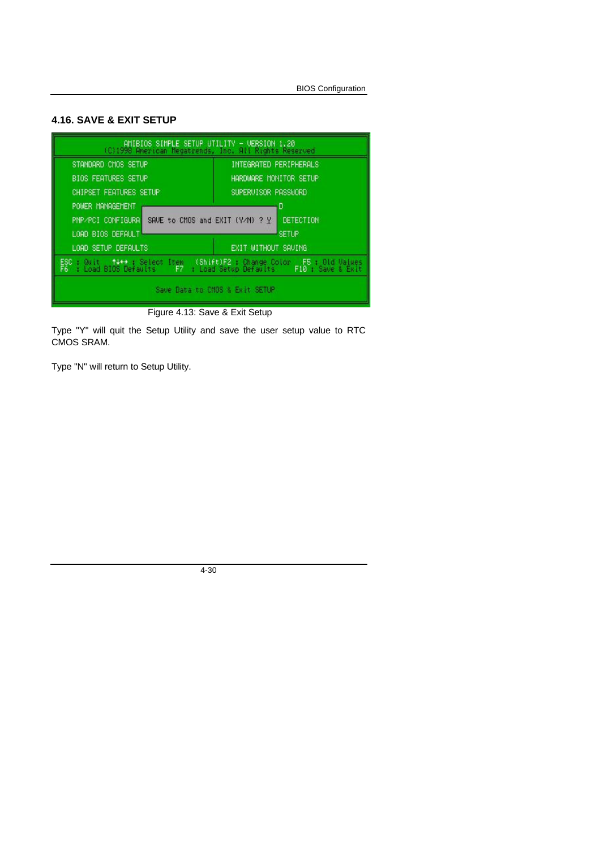# **4.16. SAVE & EXIT SETUP**



Figure 4.13: Save & Exit Setup

Type "Y" will quit the Setup Utility and save the user setup value to RTC CMOS SRAM.

Type "N" will return to Setup Utility.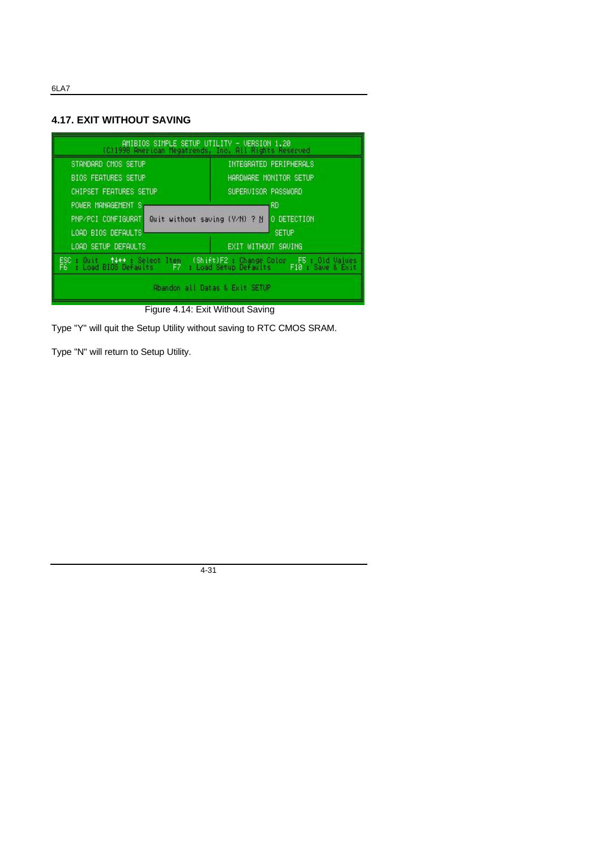# **4.17. EXIT WITHOUT SAVING**

| AMIBIOS SIMPLE SETUP UTILITY - VERSION 1.20<br>(C)1998 American Megatrends, Inc. All Rights Reserved                                                     |                        |  |
|----------------------------------------------------------------------------------------------------------------------------------------------------------|------------------------|--|
| STANDARD CMOS SETUP<br>INTEGRATED PERIPHERALS                                                                                                            |                        |  |
| <b>BIOS FEATURES SETUP</b>                                                                                                                               | HARDWARE MONITOR SETUP |  |
| <b>CHIPSET FEATURES SETUP</b>                                                                                                                            | SUPERVISOR PASSWORD    |  |
| POWER MANAGEMENT S.<br>RD                                                                                                                                |                        |  |
| PNP/PCI CONFIGURAT Wealt without saving (Y/N) ? N O DETECTION                                                                                            |                        |  |
| LOAD BIOS DEFAULTS<br><b>SETUP</b>                                                                                                                       |                        |  |
| LOAD SETUP DEFAULTS                                                                                                                                      | EXIT WITHOUT SAVING    |  |
| ESC : Quit   †4++ : Select Item   (Shift)F2 : Change Color   F5 : Gid Values<br>  F6 : Load BIOS Defaults   F7 : Load Setup Defaults   F10 : Save & Exit |                        |  |
| Abandon all Datas & Exit SETUP                                                                                                                           |                        |  |

Figure 4.14: Exit Without Saving

Type "Y" will quit the Setup Utility without saving to RTC CMOS SRAM.

Type "N" will return to Setup Utility.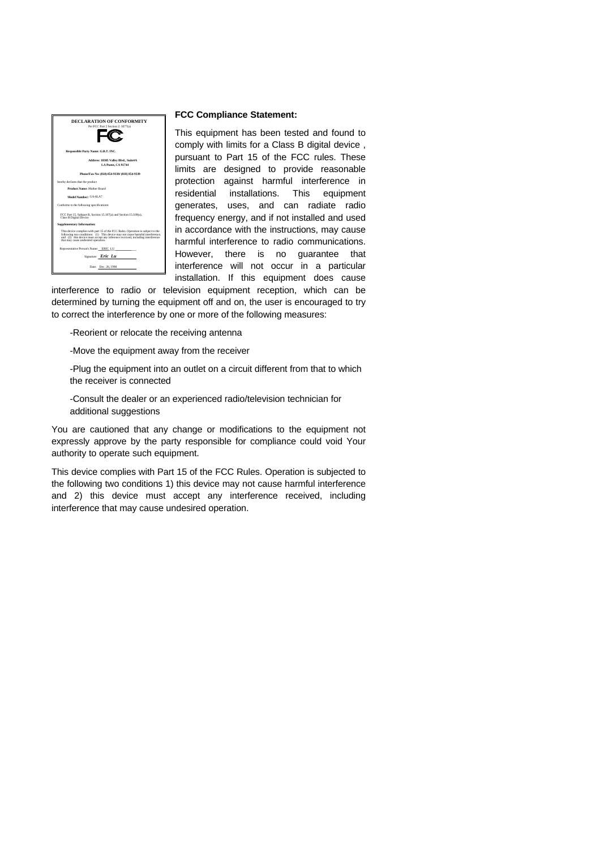

#### **FCC Compliance Statement:**

This equipment has been tested and found to comply with limits for a Class B digital device , pursuant to Part 15 of the FCC rules. These limits are designed to provide reasonable protection against harmful interference in residential installations. This equipment generates, uses, and can radiate radio frequency energy, and if not installed and used in accordance with the instructions, may cause harmful interference to radio communications. However, there is no guarantee that interference will not occur in a particular installation. If this equipment does cause

interference to radio or television equipment reception, which can be determined by turning the equipment off and on, the user is encouraged to try to correct the interference by one or more of the following measures:

-Reorient or relocate the receiving antenna

-Move the equipment away from the receiver

-Plug the equipment into an outlet on a circuit different from that to which the receiver is connected

-Consult the dealer or an experienced radio/television technician for additional suggestions

You are cautioned that any change or modifications to the equipment not expressly approve by the party responsible for compliance could void Your authority to operate such equipment.

This device complies with Part 15 of the FCC Rules. Operation is subjected to the following two conditions 1) this device may not cause harmful interference and 2) this device must accept any interference received, including interference that may cause undesired operation.